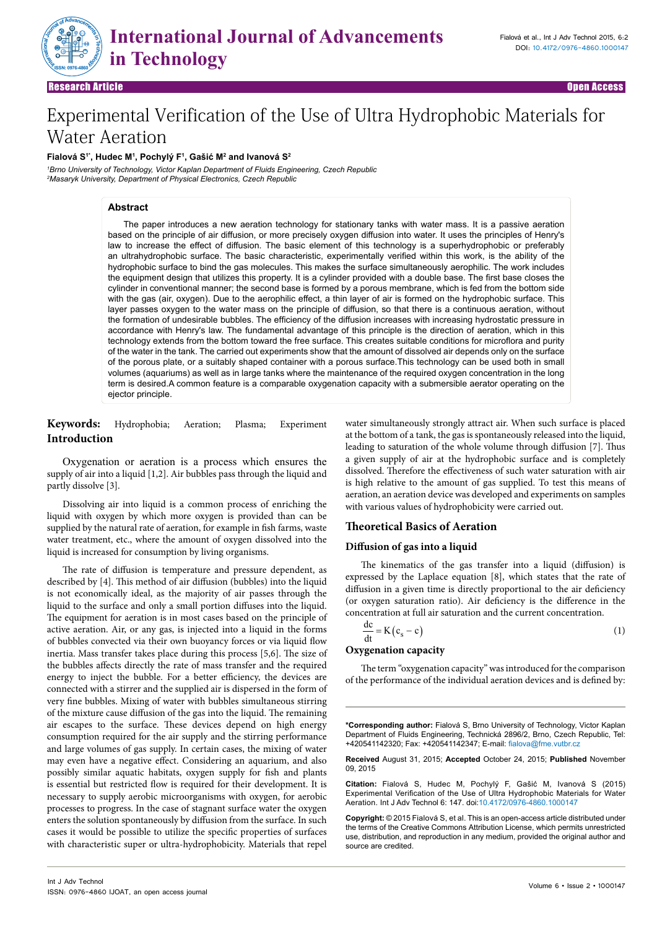

Research Article Research Article Open Access Open Access

# Experimental Verification of the Use of Ultra Hydrophobic Materials for Water Aeration

#### **Fialová S1\*, Hudec M1 , Pochylý F1 , Gašić M<sup>2</sup> and Ivanová S2**

*1 Brno University of Technology, Victor Kaplan Department of Fluids Engineering, Czech Republic 2 Masaryk University, Department of Physical Electronics, Czech Republic*

# **Abstract**

The paper introduces a new aeration technology for stationary tanks with water mass. It is a passive aeration based on the principle of air diffusion, or more precisely oxygen diffusion into water. It uses the principles of Henry's law to increase the effect of diffusion. The basic element of this technology is a superhydrophobic or preferably an ultrahydrophobic surface. The basic characteristic, experimentally verified within this work, is the ability of the hydrophobic surface to bind the gas molecules. This makes the surface simultaneously aerophilic. The work includes the equipment design that utilizes this property. It is a cylinder provided with a double base. The first base closes the cylinder in conventional manner; the second base is formed by a porous membrane, which is fed from the bottom side with the gas (air, oxygen). Due to the aerophilic effect, a thin layer of air is formed on the hydrophobic surface. This layer passes oxygen to the water mass on the principle of diffusion, so that there is a continuous aeration, without the formation of undesirable bubbles. The efficiency of the diffusion increases with increasing hydrostatic pressure in accordance with Henry's law. The fundamental advantage of this principle is the direction of aeration, which in this technology extends from the bottom toward the free surface. This creates suitable conditions for microflora and purity of the water in the tank. The carried out experiments show that the amount of dissolved air depends only on the surface of the porous plate, or a suitably shaped container with a porous surface.This technology can be used both in small volumes (aquariums) as well as in large tanks where the maintenance of the required oxygen concentration in the long term is desired.A common feature is a comparable oxygenation capacity with a submersible aerator operating on the ejector principle.

**Keywords:** Hydrophobia; Aeration; Plasma; Experiment **Introduction**

Oxygenation or aeration is a process which ensures the supply of air into a liquid [1,2]. Air bubbles pass through the liquid and partly dissolve [3].

Dissolving air into liquid is a common process of enriching the liquid with oxygen by which more oxygen is provided than can be supplied by the natural rate of aeration, for example in fish farms, waste water treatment, etc., where the amount of oxygen dissolved into the liquid is increased for consumption by living organisms.

The rate of diffusion is temperature and pressure dependent, as described by [4]. This method of air diffusion (bubbles) into the liquid is not economically ideal, as the majority of air passes through the liquid to the surface and only a small portion diffuses into the liquid. The equipment for aeration is in most cases based on the principle of active aeration. Air, or any gas, is injected into a liquid in the forms of bubbles convected via their own buoyancy forces or via liquid flow inertia. Mass transfer takes place during this process [5,6]. The size of the bubbles affects directly the rate of mass transfer and the required energy to inject the bubble. For a better efficiency, the devices are connected with a stirrer and the supplied air is dispersed in the form of very fine bubbles. Mixing of water with bubbles simultaneous stirring of the mixture cause diffusion of the gas into the liquid. The remaining air escapes to the surface. These devices depend on high energy consumption required for the air supply and the stirring performance and large volumes of gas supply. In certain cases, the mixing of water may even have a negative effect. Considering an aquarium, and also possibly similar aquatic habitats, oxygen supply for fish and plants is essential but restricted flow is required for their development. It is necessary to supply aerobic microorganisms with oxygen, for aerobic processes to progress. In the case of stagnant surface water the oxygen enters the solution spontaneously by diffusion from the surface. In such cases it would be possible to utilize the specific properties of surfaces with characteristic super or ultra-hydrophobicity. Materials that repel water simultaneously strongly attract air. When such surface is placed at the bottom of a tank, the gas is spontaneously released into the liquid, leading to saturation of the whole volume through diffusion [7]. Thus a given supply of air at the hydrophobic surface and is completely dissolved. Therefore the effectiveness of such water saturation with air is high relative to the amount of gas supplied. To test this means of aeration, an aeration device was developed and experiments on samples with various values of hydrophobicity were carried out.

# **Theoretical Basics of Aeration**

#### **Diffusion of gas into a liquid**

The kinematics of the gas transfer into a liquid (diffusion) is expressed by the Laplace equation [8], which states that the rate of diffusion in a given time is directly proportional to the air deficiency (or oxygen saturation ratio). Air deficiency is the difference in the concentration at full air saturation and the current concentration.

$$
\frac{dc}{dt} = K(c_s - c)
$$
 (1)

### **Oxygenation capacity**

The term "oxygenation capacity" was introduced for the comparison of the performance of the individual aeration devices and is defined by:

**\*Corresponding author:** Fialová S, Brno University of Technology, Victor Kaplan Department of Fluids Engineering, Technická 2896/2, Brno, Czech Republic, Tel: +420541142320; Fax: +420541142347; E-mail: fialova@fme.vutbr.cz

**Received** August 31, 2015; **Accepted** October 24, 2015; **Published** November 09, 2015

**Citation:** Fialová S, Hudec M, Pochylý F, Gašić M, Ivanová S (2015) Experimental Verification of the Use of Ultra Hydrophobic Materials for Water Aeration. Int J Adv Technol 6: 147. doi:10.4172/0976-4860.1000147

**Copyright:** © 2015 Fialová S, et al. This is an open-access article distributed under the terms of the Creative Commons Attribution License, which permits unrestricted use, distribution, and reproduction in any medium, provided the original author and source are credited.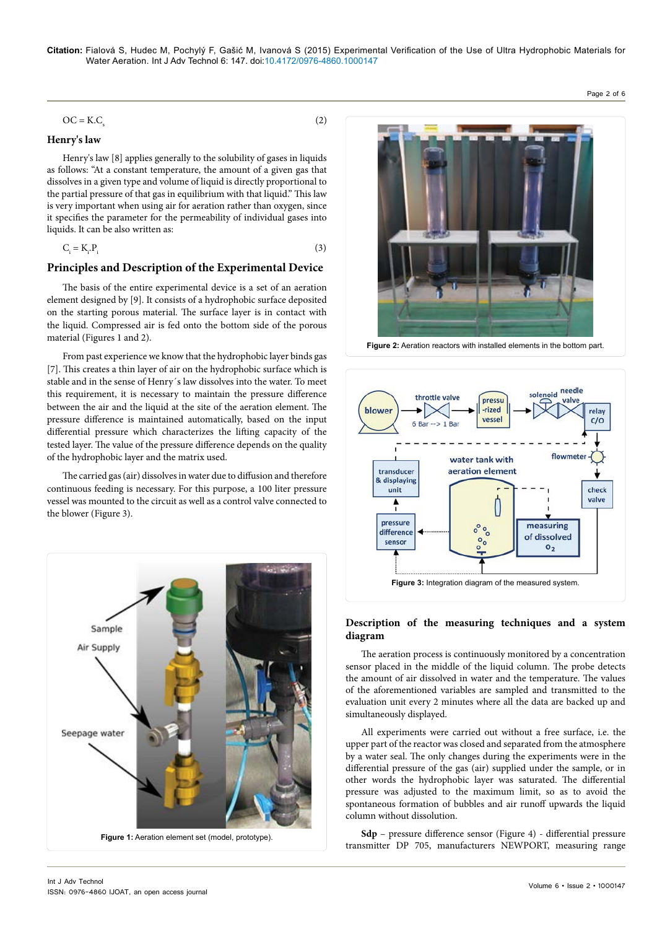#### $OC = K.C$  $(2)$

# **Henry's law**

Henry's law [8] applies generally to the solubility of gases in liquids as follows: "At a constant temperature, the amount of a given gas that dissolves in a given type and volume of liquid is directly proportional to the partial pressure of that gas in equilibrium with that liquid." This law is very important when using air for aeration rather than oxygen, since it specifies the parameter for the permeability of individual gases into liquids. It can be also written as:

$$
C_i = K_i P_i \tag{3}
$$

## **Principles and Description of the Experimental Device**

The basis of the entire experimental device is a set of an aeration element designed by [9]. It consists of a hydrophobic surface deposited on the starting porous material. The surface layer is in contact with the liquid. Compressed air is fed onto the bottom side of the porous material (Figures 1 and 2).

From past experience we know that the hydrophobic layer binds gas [7]. This creates a thin layer of air on the hydrophobic surface which is stable and in the sense of Henry´s law dissolves into the water. To meet this requirement, it is necessary to maintain the pressure difference between the air and the liquid at the site of the aeration element. The pressure difference is maintained automatically, based on the input differential pressure which characterizes the lifting capacity of the tested layer. The value of the pressure difference depends on the quality of the hydrophobic layer and the matrix used.

The carried gas (air) dissolves in water due to diffusion and therefore continuous feeding is necessary. For this purpose, a 100 liter pressure vessel was mounted to the circuit as well as a control valve connected to the blower (Figure 3).





Page 2 of 6

**Figure 2:** Aeration reactors with installed elements in the bottom part.



# **Description of the measuring techniques and a system diagram**

The aeration process is continuously monitored by a concentration sensor placed in the middle of the liquid column. The probe detects the amount of air dissolved in water and the temperature. The values of the aforementioned variables are sampled and transmitted to the evaluation unit every 2 minutes where all the data are backed up and simultaneously displayed.

All experiments were carried out without a free surface, i.e. the upper part of the reactor was closed and separated from the atmosphere by a water seal. The only changes during the experiments were in the differential pressure of the gas (air) supplied under the sample, or in other words the hydrophobic layer was saturated. The differential pressure was adjusted to the maximum limit, so as to avoid the spontaneous formation of bubbles and air runoff upwards the liquid column without dissolution.

**Sdp** – pressure difference sensor (Figure 4) - differential pressure transmitter DP 705, manufacturers NEWPORT, measuring range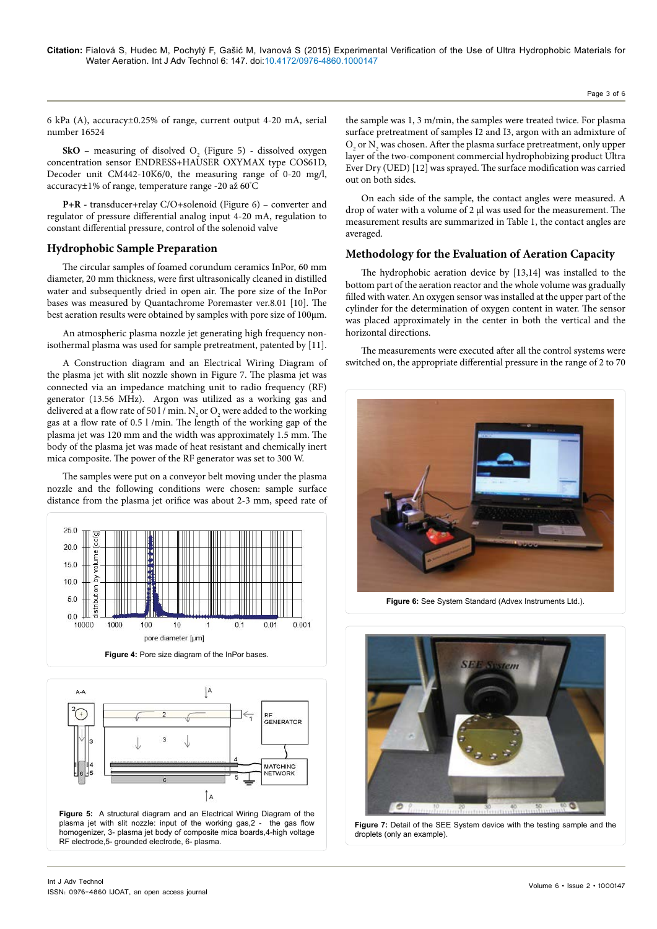Page 3 of 6

6 kPa (A), accuracy±0.25% of range, current output 4-20 mA, serial number 16524

**SkO** – measuring of disolved  $O_2$  (Figure 5) - dissolved oxygen concentration sensor ENDRESS+HAUSER OXYMAX type COS61D, Decoder unit CM442-10K6/0, the measuring range of 0-20 mg/l, accuracy±1% of range, temperature range -20 až 60° C

**P+R -** transducer+relay C/O+solenoid (Figure 6) – converter and regulator of pressure differential analog input 4-20 mA, regulation to constant differential pressure, control of the solenoid valve

# **Hydrophobic Sample Preparation**

The circular samples of foamed corundum ceramics InPor, 60 mm diameter, 20 mm thickness, were first ultrasonically cleaned in distilled water and subsequently dried in open air. The pore size of the InPor bases was measured by Quantachrome Poremaster ver.8.01 [10]. The best aeration results were obtained by samples with pore size of 100μm.

An atmospheric plasma nozzle jet generating high frequency nonisothermal plasma was used for sample pretreatment, patented by [11].

A Construction diagram and an Electrical Wiring Diagram of the plasma jet with slit nozzle shown in Figure 7. The plasma jet was connected via an impedance matching unit to radio frequency (RF) generator (13.56 MHz). Argon was utilized as a working gas and delivered at a flow rate of 50 l / min.  $\mathrm{N}_\mathrm{2}$  or  $\mathrm{O}_\mathrm{2}$  were added to the working gas at a flow rate of 0.5 l /min. The length of the working gap of the plasma jet was 120 mm and the width was approximately 1.5 mm. The body of the plasma jet was made of heat resistant and chemically inert mica composite. The power of the RF generator was set to 300 W.

The samples were put on a conveyor belt moving under the plasma nozzle and the following conditions were chosen: sample surface distance from the plasma jet orifice was about 2-3 mm, speed rate of





the sample was 1, 3 m/min, the samples were treated twice. For plasma surface pretreatment of samples I2 and I3, argon with an admixture of  $\mathrm{O}_2$  or  $\mathrm{N}_2$  was chosen. After the plasma surface pretreatment, only upper layer of the two-component commercial hydrophobizing product Ultra Ever Dry (UED) [12] was sprayed. The surface modification was carried out on both sides.

On each side of the sample, the contact angles were measured. A drop of water with a volume of 2 µl was used for the measurement. The measurement results are summarized in Table 1, the contact angles are averaged.

# **Methodology for the Evaluation of Aeration Capacity**

The hydrophobic aeration device by [13,14] was installed to the bottom part of the aeration reactor and the whole volume was gradually filled with water. An oxygen sensor was installed at the upper part of the cylinder for the determination of oxygen content in water. The sensor was placed approximately in the center in both the vertical and the horizontal directions.

The measurements were executed after all the control systems were switched on, the appropriate differential pressure in the range of 2 to 70



**Figure 6:** See System Standard (Advex Instruments Ltd.).



**Figure 7:** Detail of the SEE System device with the testing sample and the droplets (only an example).

RF electrode,5- grounded electrode, 6- plasma.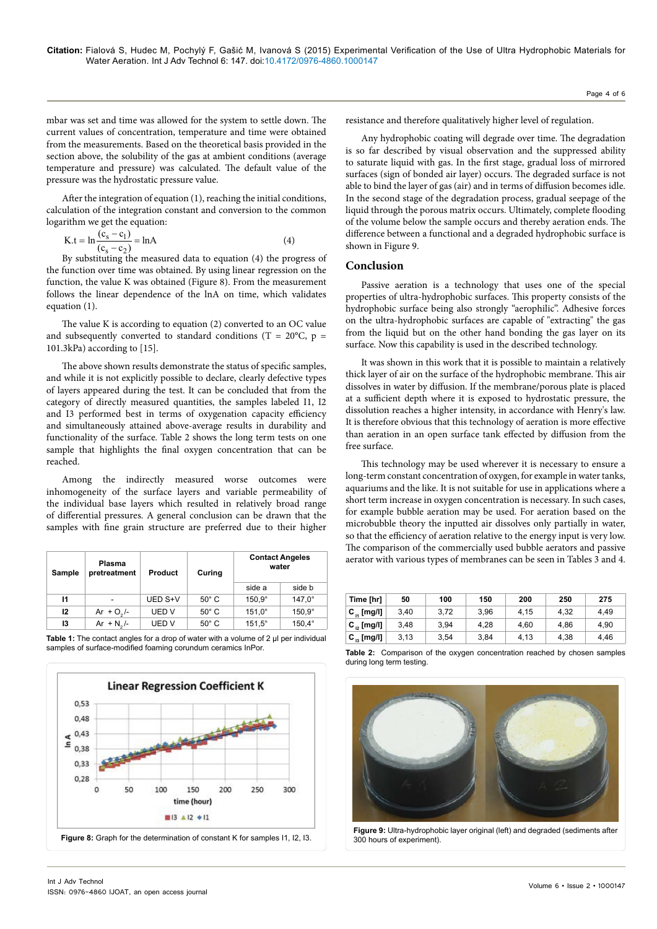mbar was set and time was allowed for the system to settle down. The current values of concentration, temperature and time were obtained from the measurements. Based on the theoretical basis provided in the section above, the solubility of the gas at ambient conditions (average temperature and pressure) was calculated. The default value of the pressure was the hydrostatic pressure value.

After the integration of equation (1), reaching the initial conditions, calculation of the integration constant and conversion to the common logarithm we get the equation:

$$
K.t = \ln \frac{(c_s - c_1)}{(c_s - c_2)} = \ln A
$$
 (4)

By substituting the measured data to equation (4) the progress of the function over time was obtained. By using linear regression on the function, the value K was obtained (Figure 8). From the measurement follows the linear dependence of the lnA on time, which validates equation (1).

The value K is according to equation (2) converted to an OC value and subsequently converted to standard conditions (T =  $20^{\circ}$ C, p = 101.3kPa) according to [15].

The above shown results demonstrate the status of specific samples, and while it is not explicitly possible to declare, clearly defective types of layers appeared during the test. It can be concluded that from the category of directly measured quantities, the samples labeled I1, I2 and I3 performed best in terms of oxygenation capacity efficiency and simultaneously attained above-average results in durability and functionality of the surface. Table 2 shows the long term tests on one sample that highlights the final oxygen concentration that can be reached.

Among the indirectly measured worse outcomes were inhomogeneity of the surface layers and variable permeability of the individual base layers which resulted in relatively broad range of differential pressures. A general conclusion can be drawn that the samples with fine grain structure are preferred due to their higher

| Sample | Plasma<br>pretreatment | <b>Product</b> | Curing         | <b>Contact Angeles</b><br>water |                 |  |
|--------|------------------------|----------------|----------------|---------------------------------|-----------------|--|
|        |                        |                |                | side a                          | side b          |  |
| 11     |                        | UED S+V        | $50^{\circ}$ C | $150.9^\circ$                   | $147.0^{\circ}$ |  |
| 12     | Ar + $O_2$ /-          | UED V          | $50^\circ$ C   | $151.0^\circ$                   | $150.9^\circ$   |  |
| 13     | Ar + $N_2$ /-          | UED V          | $50^{\circ}$ C | $151.5^\circ$                   | $150,4^{\circ}$ |  |

Table 1: The contact angles for a drop of water with a volume of 2 µl per individual samples of surface-modified foaming corundum ceramics InPor.



resistance and therefore qualitatively higher level of regulation.

Any hydrophobic coating will degrade over time. The degradation is so far described by visual observation and the suppressed ability to saturate liquid with gas. In the first stage, gradual loss of mirrored surfaces (sign of bonded air layer) occurs. The degraded surface is not able to bind the layer of gas (air) and in terms of diffusion becomes idle. In the second stage of the degradation process, gradual seepage of the liquid through the porous matrix occurs. Ultimately, complete flooding of the volume below the sample occurs and thereby aeration ends. The difference between a functional and a degraded hydrophobic surface is shown in Figure 9.

#### **Conclusion**

Passive aeration is a technology that uses one of the special properties of ultra-hydrophobic surfaces. This property consists of the hydrophobic surface being also strongly "aerophilic". Adhesive forces on the ultra-hydrophobic surfaces are capable of "extracting" the gas from the liquid but on the other hand bonding the gas layer on its surface. Now this capability is used in the described technology.

It was shown in this work that it is possible to maintain a relatively thick layer of air on the surface of the hydrophobic membrane. This air dissolves in water by diffusion. If the membrane/porous plate is placed at a sufficient depth where it is exposed to hydrostatic pressure, the dissolution reaches a higher intensity, in accordance with Henry's law. It is therefore obvious that this technology of aeration is more effective than aeration in an open surface tank effected by diffusion from the free surface.

This technology may be used wherever it is necessary to ensure a long-term constant concentration of oxygen, for example in water tanks, aquariums and the like. It is not suitable for use in applications where a short term increase in oxygen concentration is necessary. In such cases, for example bubble aeration may be used. For aeration based on the microbubble theory the inputted air dissolves only partially in water, so that the efficiency of aeration relative to the energy input is very low. The comparison of the commercially used bubble aerators and passive aerator with various types of membranes can be seen in Tables 3 and 4.

| Time [hr]       | 50   | 100  | 150  | 200  | 250  | 275  |
|-----------------|------|------|------|------|------|------|
| $C_{1}$ [mg/l]  | 3.40 | 3.72 | 3.96 | 4.15 | 4.32 | 4.49 |
| $C_{12}$ [mg/l] | 3.48 | 3.94 | 4.28 | 4.60 | 4.86 | 4.90 |
| $C_{12}$ [mg/l] | 3,13 | 3.54 | 3.84 | 4.13 | 4.38 | 4.46 |



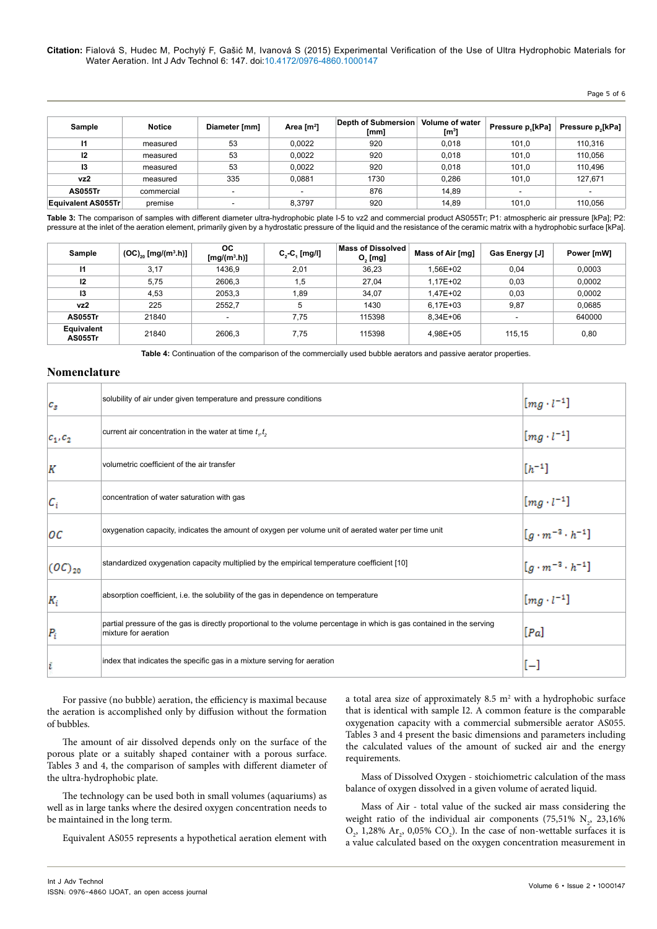#### **Citation:** Fialová S, Hudec M, Pochylý F, Gašić M, Ivanová S (2015) Experimental Verification of the Use of Ultra Hydrophobic Materials for Water Aeration. Int J Adv Technol 6: 147. doi:10.4172/0976-4860.1000147

# Page 5 of 6

| Sample             | <b>Notice</b> | Diameter [mm] | Area [m <sup>2</sup> ] | Depth of Submersion<br>[mm] | Volume of water<br>$\mathsf{[m^3]}$ | Pressure p.[kPa] | Pressure p,[kPa] |
|--------------------|---------------|---------------|------------------------|-----------------------------|-------------------------------------|------------------|------------------|
| 11                 | measured      | 53            | 0,0022                 | 920                         | 0.018                               | 101.0            | 110,316          |
| 12                 | measured      | 53            | 0.0022                 | 920                         | 0.018                               | 101.0            | 110,056          |
| 13                 | measured      | 53            | 0.0022                 | 920                         | 0.018                               | 101.0            | 110,496          |
| vz2                | measured      | 335           | 0.0881                 | 1730                        | 0.286                               | 101,0            | 127,671          |
| <b>AS055Tr</b>     | commercial    | -             | -                      | 876                         | 14.89                               | -                | -                |
| Equivalent AS055Tr | premise       |               | 8.3797                 | 920                         | 14.89                               | 101.0            | 110.056          |

Table 3: The comparison of samples with different diameter ultra-hydrophobic plate I-5 to vz2 and commercial product AS055Tr; P1: atmospheric air pressure [kPa]; P2: pressure at the inlet of the aeration element, primarily given by a hydrostatic pressure of the liquid and the resistance of the ceramic matrix with a hydrophobic surface [kPa].

| Sample                              | $(OC)_{20}$ [mg/(m <sup>3</sup> .h)] | <b>OC</b><br>$[mg/(m^3.h)]$ | $C, -C, [mg/l]$ | <b>Mass of Dissolved</b><br>$O2$ [mg] | Mass of Air [mg] | Gas Energy [J] | Power [mW] |
|-------------------------------------|--------------------------------------|-----------------------------|-----------------|---------------------------------------|------------------|----------------|------------|
| 11                                  | 3.17                                 | 1436.9                      | 2.01            | 36,23                                 | 1.56E+02         | 0.04           | 0,0003     |
| 12                                  | 5,75                                 | 2606.3                      | 1.5             | 27.04                                 | 1.17E+02         | 0,03           | 0,0002     |
| 13                                  | 4.53                                 | 2053.3                      | 1.89            | 34.07                                 | 1.47E+02         | 0.03           | 0,0002     |
| vz2                                 | 225                                  | 2552.7                      | 5               | 1430                                  | 6,17E+03         | 9,87           | 0,0685     |
| <b>AS055Tr</b>                      | 21840                                | $\overline{\phantom{a}}$    | 7.75            | 115398                                | 8.34E+06         |                | 640000     |
| <b>Equivalent</b><br><b>AS055Tr</b> | 21840                                | 2606.3                      | 7,75            | 115398                                | 4.98E+05         | 115.15         | 0,80       |

**Table 4:** Continuation of the comparison of the commercially used bubble aerators and passive aerator properties.

# **Nomenclature**

| $c_{s}$              | solubility of air under given temperature and pressure conditions                                                                              | $[mg \cdot l^{-1}]$             |
|----------------------|------------------------------------------------------------------------------------------------------------------------------------------------|---------------------------------|
| $c_1, c_2$           | current air concentration in the water at time $t_{i}$ , $t_{j}$                                                                               | $[mg \cdot l^{-1}]$             |
| K                    | volumetric coefficient of the air transfer                                                                                                     | $[h^{-1}]$                      |
| $\mathcal{C}_i$      | concentration of water saturation with gas                                                                                                     | $[mg \cdot l^{-1}]$             |
| oс                   | oxygenation capacity, indicates the amount of oxygen per volume unit of aerated water per time unit                                            | $[g \cdot m^{-3} \cdot h^{-1}]$ |
| $(\mathit{OC})_{20}$ | standardized oxygenation capacity multiplied by the empirical temperature coefficient [10]                                                     | $[g \cdot m^{-3} \cdot h^{-1}]$ |
| $K_i$                | absorption coefficient, i.e. the solubility of the gas in dependence on temperature                                                            | $[mg \cdot l^{-1}]$             |
| $P_i$                | partial pressure of the gas is directly proportional to the volume percentage in which is gas contained in the serving<br>mixture for aeration | [Pa]                            |
|                      | index that indicates the specific gas in a mixture serving for aeration                                                                        | $[-]$                           |

For passive (no bubble) aeration, the efficiency is maximal because the aeration is accomplished only by diffusion without the formation of bubbles.

The amount of air dissolved depends only on the surface of the porous plate or a suitably shaped container with a porous surface. Tables 3 and 4, the comparison of samples with different diameter of the ultra-hydrophobic plate.

The technology can be used both in small volumes (aquariums) as well as in large tanks where the desired oxygen concentration needs to be maintained in the long term.

Equivalent AS055 represents a hypothetical aeration element with

a total area size of approximately  $8.5 \text{ m}^2$  with a hydrophobic surface that is identical with sample I2. A common feature is the comparable oxygenation capacity with a commercial submersible aerator AS055. Tables 3 and 4 present the basic dimensions and parameters including the calculated values of the amount of sucked air and the energy requirements.

Mass of Dissolved Oxygen - stoichiometric calculation of the mass balance of oxygen dissolved in a given volume of aerated liquid.

Mass of Air - total value of the sucked air mass considering the weight ratio of the individual air components (75,51%  $N_2$ , 23,16%  $O_2$ , 1,28%  $Ar_2$ , 0,05%  $CO_2$ ). In the case of non-wettable surfaces it is a value calculated based on the oxygen concentration measurement in